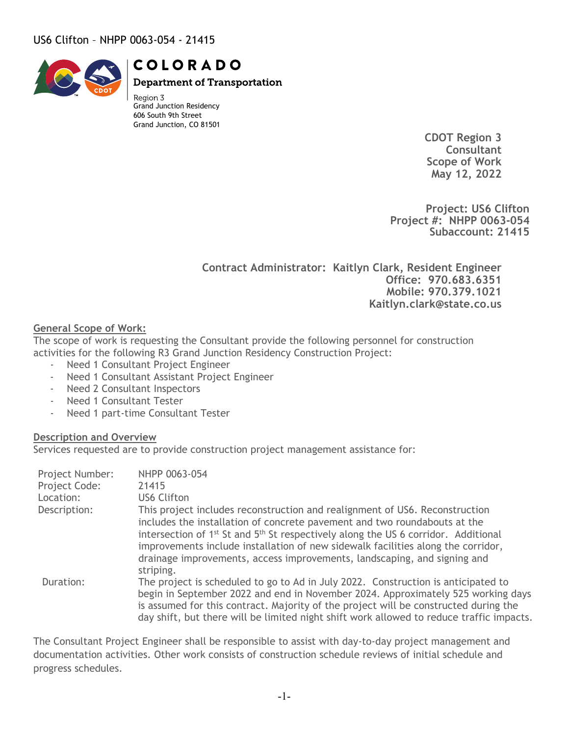

**COLORADO** 

**Department of Transportation** 

Region 3 Grand Junction Residency 606 South 9th Street Grand Junction, CO 81501

> **CDOT Region 3 Consultant Scope of Work May 12, 2022**

**Project: US6 Clifton Project #: NHPP 0063-054 Subaccount: 21415**

**Contract Administrator: Kaitlyn Clark, Resident Engineer Office: 970.683.6351 Mobile: 970.379.1021 Kaitlyn.clark@state.co.us**

#### **General Scope of Work:**

The scope of work is requesting the Consultant provide the following personnel for construction activities for the following R3 Grand Junction Residency Construction Project:

- Need 1 Consultant Project Engineer
- Need 1 Consultant Assistant Project Engineer
- Need 2 Consultant Inspectors
- Need 1 Consultant Tester
- Need 1 part-time Consultant Tester

#### **Description and Overview**

Services requested are to provide construction project management assistance for:

| Project Number:<br>Project Code:<br>Location: | NHPP 0063-054<br>21415<br><b>US6 Clifton</b>                                                                                                                                                                                                                                                                                                                                                                                                        |
|-----------------------------------------------|-----------------------------------------------------------------------------------------------------------------------------------------------------------------------------------------------------------------------------------------------------------------------------------------------------------------------------------------------------------------------------------------------------------------------------------------------------|
|                                               |                                                                                                                                                                                                                                                                                                                                                                                                                                                     |
| Description:                                  | This project includes reconstruction and realignment of US6. Reconstruction<br>includes the installation of concrete pavement and two roundabouts at the<br>intersection of 1 <sup>st</sup> St and 5 <sup>th</sup> St respectively along the US 6 corridor. Additional<br>improvements include installation of new sidewalk facilities along the corridor,<br>drainage improvements, access improvements, landscaping, and signing and<br>striping. |
| Duration:                                     | The project is scheduled to go to Ad in July 2022. Construction is anticipated to<br>begin in September 2022 and end in November 2024. Approximately 525 working days<br>is assumed for this contract. Majority of the project will be constructed during the<br>day shift, but there will be limited night shift work allowed to reduce traffic impacts.                                                                                           |

The Consultant Project Engineer shall be responsible to assist with day-to-day project management and documentation activities. Other work consists of construction schedule reviews of initial schedule and progress schedules.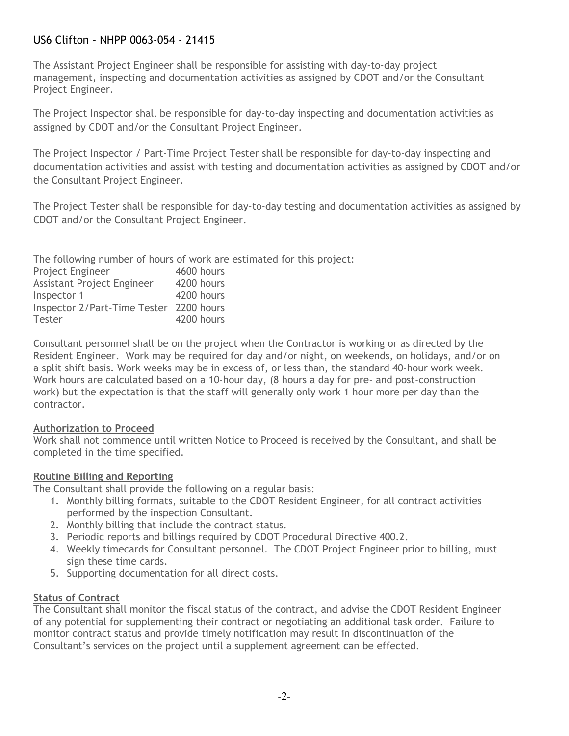The Assistant Project Engineer shall be responsible for assisting with day-to-day project management, inspecting and documentation activities as assigned by CDOT and/or the Consultant Project Engineer.

The Project Inspector shall be responsible for day-to-day inspecting and documentation activities as assigned by CDOT and/or the Consultant Project Engineer.

The Project Inspector / Part-Time Project Tester shall be responsible for day-to-day inspecting and documentation activities and assist with testing and documentation activities as assigned by CDOT and/or the Consultant Project Engineer.

The Project Tester shall be responsible for day-to-day testing and documentation activities as assigned by CDOT and/or the Consultant Project Engineer.

The following number of hours of work are estimated for this project:

| Project Engineer                        | 4600 hours |
|-----------------------------------------|------------|
| Assistant Project Engineer              | 4200 hours |
| Inspector 1                             | 4200 hours |
| Inspector 2/Part-Time Tester 2200 hours |            |
| <b>Tester</b>                           | 4200 hours |

Consultant personnel shall be on the project when the Contractor is working or as directed by the Resident Engineer. Work may be required for day and/or night, on weekends, on holidays, and/or on a split shift basis. Work weeks may be in excess of, or less than, the standard 40-hour work week. Work hours are calculated based on a 10-hour day, (8 hours a day for pre- and post-construction work) but the expectation is that the staff will generally only work 1 hour more per day than the contractor.

### **Authorization to Proceed**

Work shall not commence until written Notice to Proceed is received by the Consultant, and shall be completed in the time specified.

### **Routine Billing and Reporting**

The Consultant shall provide the following on a regular basis:

- 1. Monthly billing formats, suitable to the CDOT Resident Engineer, for all contract activities performed by the inspection Consultant.
- 2. Monthly billing that include the contract status.
- 3. Periodic reports and billings required by CDOT Procedural Directive 400.2.
- 4. Weekly timecards for Consultant personnel. The CDOT Project Engineer prior to billing, must sign these time cards.
- 5. Supporting documentation for all direct costs.

## **Status of Contract**

The Consultant shall monitor the fiscal status of the contract, and advise the CDOT Resident Engineer of any potential for supplementing their contract or negotiating an additional task order. Failure to monitor contract status and provide timely notification may result in discontinuation of the Consultant's services on the project until a supplement agreement can be effected.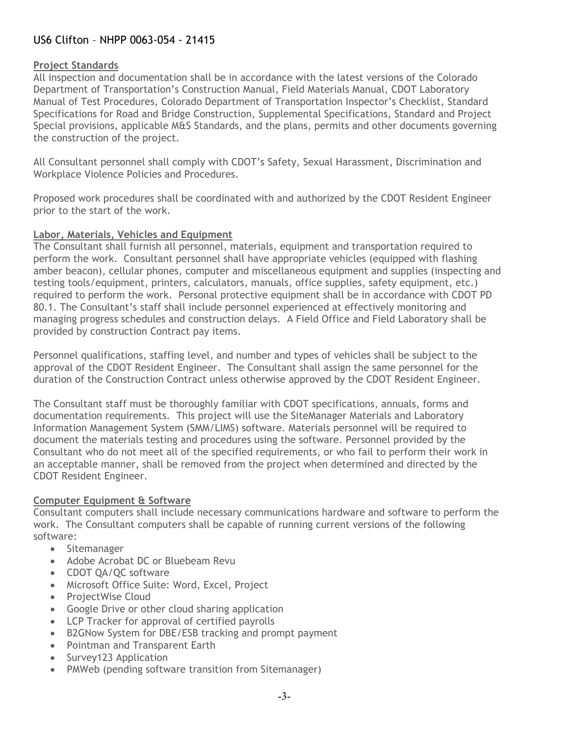#### **Project Standards**

All inspection and documentation shall be in accordance with the latest versions of the Colorado Department of Transportation's Construction Manual, Field Materials Manual, CDOT Laboratory Manual of Test Procedures, Colorado Department of Transportation Inspector's Checklist, Standard Specifications for Road and Bridge Construction, Supplemental Specifications, Standard and Project Special provisions, applicable M&S Standards, and the plans, permits and other documents governing the construction of the project.

All Consultant personnel shall comply with CDOT's Safety, Sexual Harassment, Discrimination and Workplace Violence Policies and Procedures.

Proposed work procedures shall be coordinated with and authorized by the CDOT Resident Engineer prior to the start of the work.

#### **Labor, Materials, Vehicles and Equipment**

The Consultant shall furnish all personnel, materials, equipment and transportation required to perform the work. Consultant personnel shall have appropriate vehicles (equipped with flashing amber beacon), cellular phones, computer and miscellaneous equipment and supplies (inspecting and testing tools/equipment, printers, calculators, manuals, office supplies, safety equipment, etc.) required to perform the work. Personal protective equipment shall be in accordance with CDOT PD 80.1. The Consultant's staff shall include personnel experienced at effectively monitoring and managing progress schedules and construction delays. A Field Office and Field Laboratory shall be provided by construction Contract pay items.

Personnel qualifications, staffing level, and number and types of vehicles shall be subject to the approval of the CDOT Resident Engineer. The Consultant shall assign the same personnel for the duration of the Construction Contract unless otherwise approved by the CDOT Resident Engineer.

The Consultant staff must be thoroughly familiar with CDOT specifications, annuals, forms and documentation requirements. This project will use the SiteManager Materials and Laboratory Information Management System (SMM/LIMS) software. Materials personnel will be required to document the materials testing and procedures using the software. Personnel provided by the Consultant who do not meet all of the specified requirements, or who fail to perform their work in an acceptable manner, shall be removed from the project when determined and directed by the CDOT Resident Engineer.

### **Computer Equipment & Software**

Consultant computers shall include necessary communications hardware and software to perform the work. The Consultant computers shall be capable of running current versions of the following software:

- Sitemanager
- Adobe Acrobat DC or Bluebeam Revu
- CDOT QA/QC software
- Microsoft Office Suite: Word, Excel, Project
- ProjectWise Cloud
- Google Drive or other cloud sharing application
- LCP Tracker for approval of certified payrolls
- B2GNow System for DBE/ESB tracking and prompt payment
- Pointman and Transparent Earth
- Survey123 Application
- PMWeb (pending software transition from Sitemanager)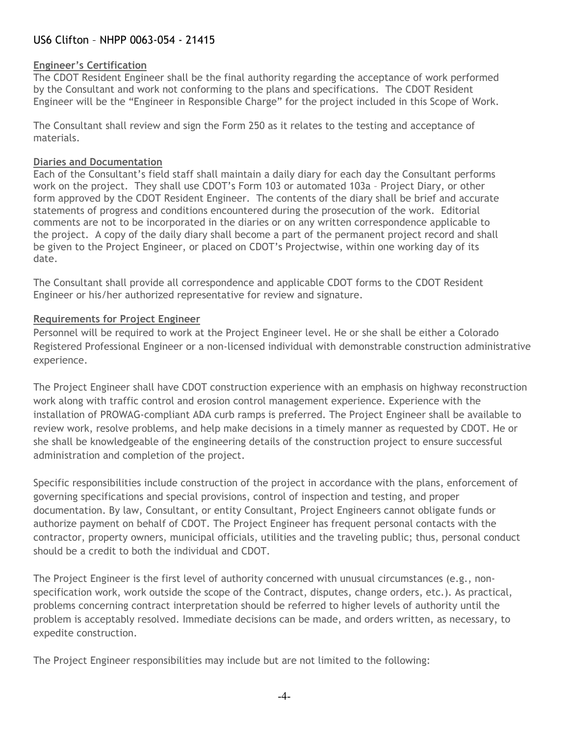### **Engineer's Certification**

The CDOT Resident Engineer shall be the final authority regarding the acceptance of work performed by the Consultant and work not conforming to the plans and specifications. The CDOT Resident Engineer will be the "Engineer in Responsible Charge" for the project included in this Scope of Work.

The Consultant shall review and sign the Form 250 as it relates to the testing and acceptance of materials.

#### **Diaries and Documentation**

Each of the Consultant's field staff shall maintain a daily diary for each day the Consultant performs work on the project. They shall use CDOT's Form 103 or automated 103a – Project Diary, or other form approved by the CDOT Resident Engineer. The contents of the diary shall be brief and accurate statements of progress and conditions encountered during the prosecution of the work. Editorial comments are not to be incorporated in the diaries or on any written correspondence applicable to the project. A copy of the daily diary shall become a part of the permanent project record and shall be given to the Project Engineer, or placed on CDOT's Projectwise, within one working day of its date.

The Consultant shall provide all correspondence and applicable CDOT forms to the CDOT Resident Engineer or his/her authorized representative for review and signature.

### **Requirements for Project Engineer**

Personnel will be required to work at the Project Engineer level. He or she shall be either a Colorado Registered Professional Engineer or a non-licensed individual with demonstrable construction administrative experience.

The Project Engineer shall have CDOT construction experience with an emphasis on highway reconstruction work along with traffic control and erosion control management experience. Experience with the installation of PROWAG-compliant ADA curb ramps is preferred. The Project Engineer shall be available to review work, resolve problems, and help make decisions in a timely manner as requested by CDOT. He or she shall be knowledgeable of the engineering details of the construction project to ensure successful administration and completion of the project.

Specific responsibilities include construction of the project in accordance with the plans, enforcement of governing specifications and special provisions, control of inspection and testing, and proper documentation. By law, Consultant, or entity Consultant, Project Engineers cannot obligate funds or authorize payment on behalf of CDOT. The Project Engineer has frequent personal contacts with the contractor, property owners, municipal officials, utilities and the traveling public; thus, personal conduct should be a credit to both the individual and CDOT.

The Project Engineer is the first level of authority concerned with unusual circumstances (e.g., nonspecification work, work outside the scope of the Contract, disputes, change orders, etc.). As practical, problems concerning contract interpretation should be referred to higher levels of authority until the problem is acceptably resolved. Immediate decisions can be made, and orders written, as necessary, to expedite construction.

The Project Engineer responsibilities may include but are not limited to the following: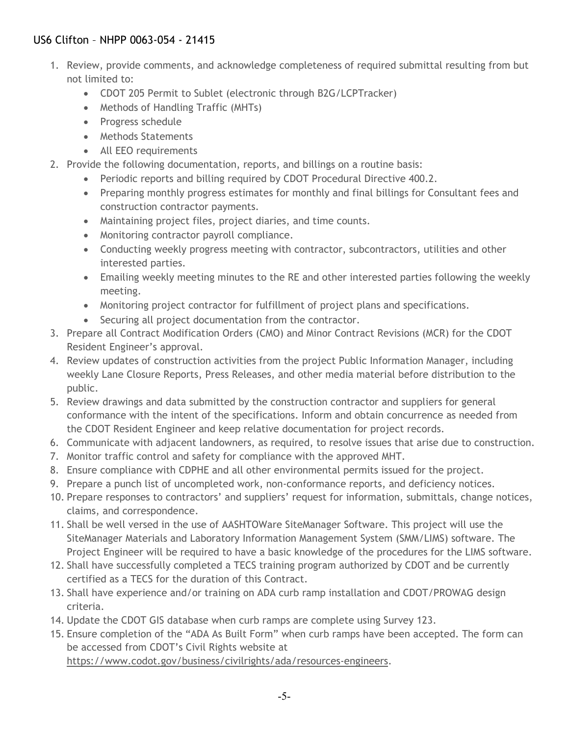- 1. Review, provide comments, and acknowledge completeness of required submittal resulting from but not limited to:
	- CDOT 205 Permit to Sublet (electronic through B2G/LCPTracker)
	- Methods of Handling Traffic (MHTs)
	- Progress schedule
	- Methods Statements
	- All EEO requirements
- 2. Provide the following documentation, reports, and billings on a routine basis:
	- Periodic reports and billing required by CDOT Procedural Directive 400.2.
	- Preparing monthly progress estimates for monthly and final billings for Consultant fees and construction contractor payments.
	- Maintaining project files, project diaries, and time counts.
	- Monitoring contractor payroll compliance.
	- Conducting weekly progress meeting with contractor, subcontractors, utilities and other interested parties.
	- Emailing weekly meeting minutes to the RE and other interested parties following the weekly meeting.
	- Monitoring project contractor for fulfillment of project plans and specifications.
	- Securing all project documentation from the contractor.
- 3. Prepare all Contract Modification Orders (CMO) and Minor Contract Revisions (MCR) for the CDOT Resident Engineer's approval.
- 4. Review updates of construction activities from the project Public Information Manager, including weekly Lane Closure Reports, Press Releases, and other media material before distribution to the public.
- 5. Review drawings and data submitted by the construction contractor and suppliers for general conformance with the intent of the specifications. Inform and obtain concurrence as needed from the CDOT Resident Engineer and keep relative documentation for project records.
- 6. Communicate with adjacent landowners, as required, to resolve issues that arise due to construction.
- 7. Monitor traffic control and safety for compliance with the approved MHT.
- 8. Ensure compliance with CDPHE and all other environmental permits issued for the project.
- 9. Prepare a punch list of uncompleted work, non-conformance reports, and deficiency notices.
- 10. Prepare responses to contractors' and suppliers' request for information, submittals, change notices, claims, and correspondence.
- 11. Shall be well versed in the use of AASHTOWare SiteManager Software. This project will use the SiteManager Materials and Laboratory Information Management System (SMM/LIMS) software. The Project Engineer will be required to have a basic knowledge of the procedures for the LIMS software.
- 12. Shall have successfully completed a TECS training program authorized by CDOT and be currently certified as a TECS for the duration of this Contract.
- 13. Shall have experience and/or training on ADA curb ramp installation and CDOT/PROWAG design criteria.
- 14. Update the CDOT GIS database when curb ramps are complete using Survey 123.
- 15. Ensure completion of the "ADA As Built Form" when curb ramps have been accepted. The form can be accessed from CDOT's Civil Rights website at

[https://www.codot.gov/business/civilrights/ada/resources-engineers.](https://www.codot.gov/business/civilrights/ada/resources-engineers)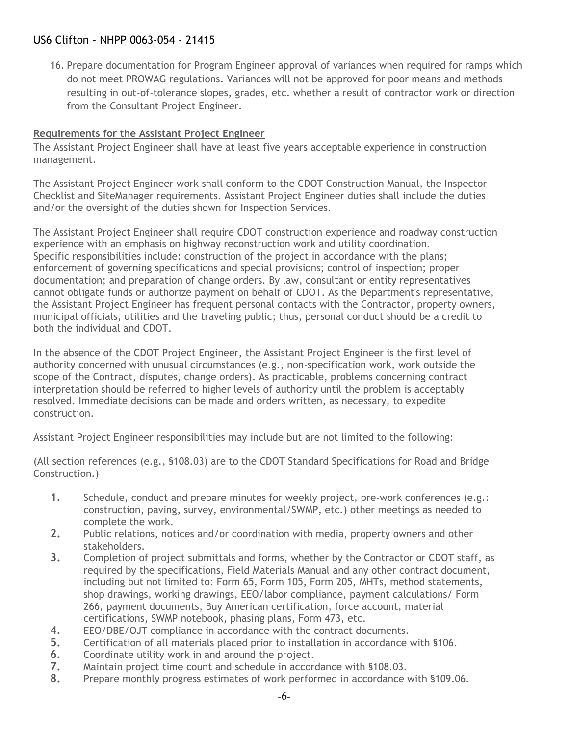16. Prepare documentation for Program Engineer approval of variances when required for ramps which do not meet PROWAG regulations. Variances will not be approved for poor means and methods resulting in out-of-tolerance slopes, grades, etc. whether a result of contractor work or direction from the Consultant Project Engineer.

## **Requirements for the Assistant Project Engineer**

The Assistant Project Engineer shall have at least five years acceptable experience in construction management.

The Assistant Project Engineer work shall conform to the CDOT Construction Manual, the Inspector Checklist and SiteManager requirements. Assistant Project Engineer duties shall include the duties and/or the oversight of the duties shown for Inspection Services.

The Assistant Project Engineer shall require CDOT construction experience and roadway construction experience with an emphasis on highway reconstruction work and utility coordination. Specific responsibilities include: construction of the project in accordance with the plans; enforcement of governing specifications and special provisions; control of inspection; proper documentation; and preparation of change orders. By law, consultant or entity representatives cannot obligate funds or authorize payment on behalf of CDOT. As the Department's representative, the Assistant Project Engineer has frequent personal contacts with the Contractor, property owners, municipal officials, utilities and the traveling public; thus, personal conduct should be a credit to both the individual and CDOT.

In the absence of the CDOT Project Engineer, the Assistant Project Engineer is the first level of authority concerned with unusual circumstances (e.g., non-specification work, work outside the scope of the Contract, disputes, change orders). As practicable, problems concerning contract interpretation should be referred to higher levels of authority until the problem is acceptably resolved. Immediate decisions can be made and orders written, as necessary, to expedite construction.

Assistant Project Engineer responsibilities may include but are not limited to the following:

(All section references (e.g., §108.03) are to the CDOT Standard Specifications for Road and Bridge Construction.)

- **1.** Schedule, conduct and prepare minutes for weekly project, pre-work conferences (e.g.: construction, paving, survey, environmental/SWMP, etc.) other meetings as needed to complete the work.
- **2.** Public relations, notices and/or coordination with media, property owners and other stakeholders.
- **3.** Completion of project submittals and forms, whether by the Contractor or CDOT staff, as required by the specifications, Field Materials Manual and any other contract document, including but not limited to: Form 65, Form 105, Form 205, MHTs, method statements, shop drawings, working drawings, EEO/labor compliance, payment calculations/ Form 266, payment documents, Buy American certification, force account, material certifications, SWMP notebook, phasing plans, Form 473, etc.
- **4.** EEO/DBE/OJT compliance in accordance with the contract documents.<br>**5.** Certification of all materials placed prior to installation in accordance
- **5.** Certification of all materials placed prior to installation in accordance with §106.
- **6.** Coordinate utility work in and around the project.<br>**7.** Maintain project time count and schedule in accord
- **7.** Maintain project time count and schedule in accordance with §108.03.
- **8.** Prepare monthly progress estimates of work performed in accordance with §109.06.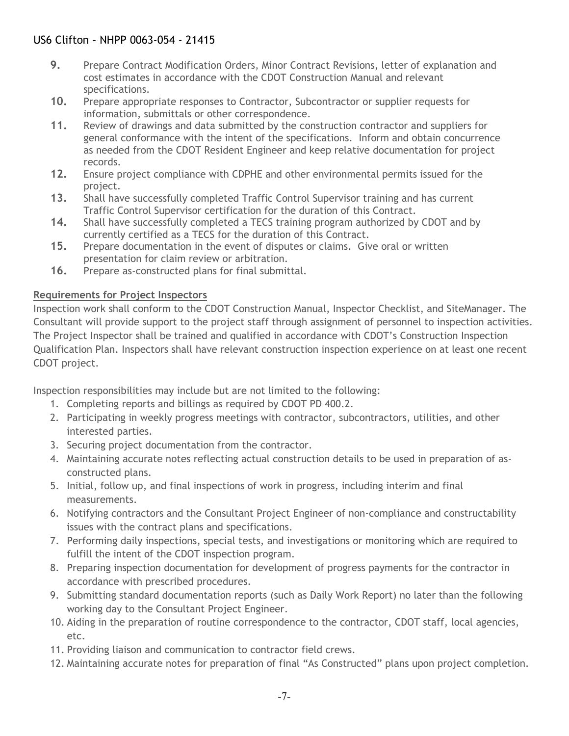- **9.** Prepare Contract Modification Orders, Minor Contract Revisions, letter of explanation and cost estimates in accordance with the CDOT Construction Manual and relevant specifications.
- **10.** Prepare appropriate responses to Contractor, Subcontractor or supplier requests for information, submittals or other correspondence.
- **11.** Review of drawings and data submitted by the construction contractor and suppliers for general conformance with the intent of the specifications. Inform and obtain concurrence as needed from the CDOT Resident Engineer and keep relative documentation for project records.
- **12.** Ensure project compliance with CDPHE and other environmental permits issued for the project.
- **13.** Shall have successfully completed Traffic Control Supervisor training and has current Traffic Control Supervisor certification for the duration of this Contract.
- **14.** Shall have successfully completed a TECS training program authorized by CDOT and by currently certified as a TECS for the duration of this Contract.
- **15.** Prepare documentation in the event of disputes or claims. Give oral or written presentation for claim review or arbitration.
- **16.** Prepare as-constructed plans for final submittal.

## **Requirements for Project Inspectors**

Inspection work shall conform to the CDOT Construction Manual, Inspector Checklist, and SiteManager. The Consultant will provide support to the project staff through assignment of personnel to inspection activities. The Project Inspector shall be trained and qualified in accordance with CDOT's Construction Inspection Qualification Plan. Inspectors shall have relevant construction inspection experience on at least one recent CDOT project.

Inspection responsibilities may include but are not limited to the following:

- 1. Completing reports and billings as required by CDOT PD 400.2.
- 2. Participating in weekly progress meetings with contractor, subcontractors, utilities, and other interested parties.
- 3. Securing project documentation from the contractor.
- 4. Maintaining accurate notes reflecting actual construction details to be used in preparation of asconstructed plans.
- 5. Initial, follow up, and final inspections of work in progress, including interim and final measurements.
- 6. Notifying contractors and the Consultant Project Engineer of non-compliance and constructability issues with the contract plans and specifications.
- 7. Performing daily inspections, special tests, and investigations or monitoring which are required to fulfill the intent of the CDOT inspection program.
- 8. Preparing inspection documentation for development of progress payments for the contractor in accordance with prescribed procedures.
- 9. Submitting standard documentation reports (such as Daily Work Report) no later than the following working day to the Consultant Project Engineer.
- 10. Aiding in the preparation of routine correspondence to the contractor, CDOT staff, local agencies, etc.
- 11. Providing liaison and communication to contractor field crews.
- 12. Maintaining accurate notes for preparation of final "As Constructed" plans upon project completion.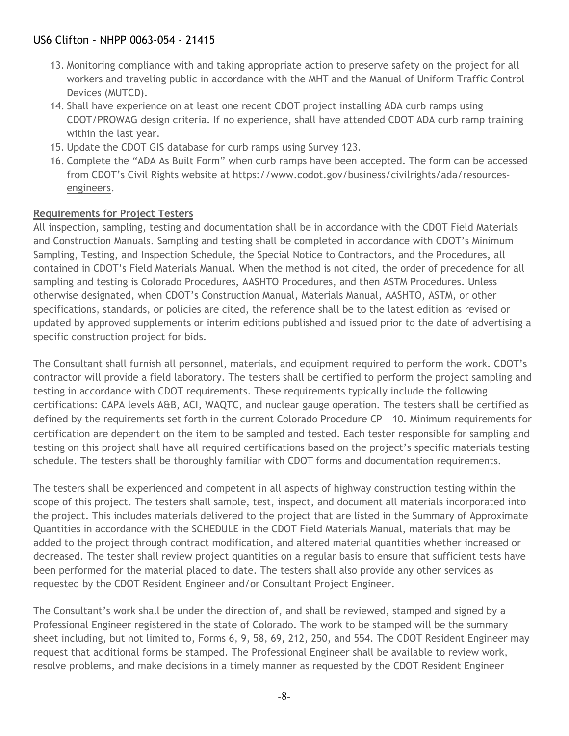- 13. Monitoring compliance with and taking appropriate action to preserve safety on the project for all workers and traveling public in accordance with the MHT and the Manual of Uniform Traffic Control Devices (MUTCD).
- 14. Shall have experience on at least one recent CDOT project installing ADA curb ramps using CDOT/PROWAG design criteria. If no experience, shall have attended CDOT ADA curb ramp training within the last year.
- 15. Update the CDOT GIS database for curb ramps using Survey 123.
- 16. Complete the "ADA As Built Form" when curb ramps have been accepted. The form can be accessed from CDOT's Civil Rights website at [https://www.codot.gov/business/civilrights/ada/resources](https://www.codot.gov/business/civilrights/ada/resources-engineers)[engineers.](https://www.codot.gov/business/civilrights/ada/resources-engineers)

### **Requirements for Project Testers**

All inspection, sampling, testing and documentation shall be in accordance with the CDOT Field Materials and Construction Manuals. Sampling and testing shall be completed in accordance with CDOT's Minimum Sampling, Testing, and Inspection Schedule, the Special Notice to Contractors, and the Procedures, all contained in CDOT's Field Materials Manual. When the method is not cited, the order of precedence for all sampling and testing is Colorado Procedures, AASHTO Procedures, and then ASTM Procedures. Unless otherwise designated, when CDOT's Construction Manual, Materials Manual, AASHTO, ASTM, or other specifications, standards, or policies are cited, the reference shall be to the latest edition as revised or updated by approved supplements or interim editions published and issued prior to the date of advertising a specific construction project for bids.

The Consultant shall furnish all personnel, materials, and equipment required to perform the work. CDOT's contractor will provide a field laboratory. The testers shall be certified to perform the project sampling and testing in accordance with CDOT requirements. These requirements typically include the following certifications: CAPA levels A&B, ACI, WAQTC, and nuclear gauge operation. The testers shall be certified as defined by the requirements set forth in the current Colorado Procedure CP - 10. Minimum requirements for certification are dependent on the item to be sampled and tested. Each tester responsible for sampling and testing on this project shall have all required certifications based on the project's specific materials testing schedule. The testers shall be thoroughly familiar with CDOT forms and documentation requirements.

The testers shall be experienced and competent in all aspects of highway construction testing within the scope of this project. The testers shall sample, test, inspect, and document all materials incorporated into the project. This includes materials delivered to the project that are listed in the Summary of Approximate Quantities in accordance with the SCHEDULE in the CDOT Field Materials Manual, materials that may be added to the project through contract modification, and altered material quantities whether increased or decreased. The tester shall review project quantities on a regular basis to ensure that sufficient tests have been performed for the material placed to date. The testers shall also provide any other services as requested by the CDOT Resident Engineer and/or Consultant Project Engineer.

The Consultant's work shall be under the direction of, and shall be reviewed, stamped and signed by a Professional Engineer registered in the state of Colorado. The work to be stamped will be the summary sheet including, but not limited to, Forms 6, 9, 58, 69, 212, 250, and 554. The CDOT Resident Engineer may request that additional forms be stamped. The Professional Engineer shall be available to review work, resolve problems, and make decisions in a timely manner as requested by the CDOT Resident Engineer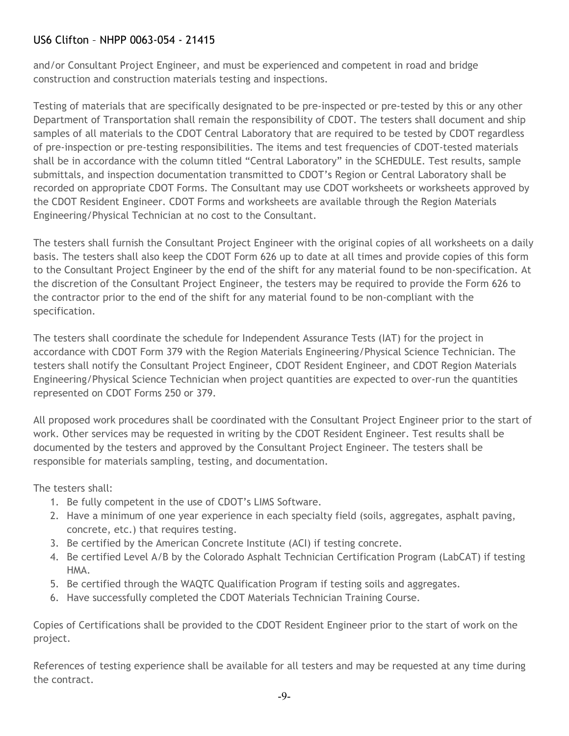and/or Consultant Project Engineer, and must be experienced and competent in road and bridge construction and construction materials testing and inspections.

Testing of materials that are specifically designated to be pre-inspected or pre-tested by this or any other Department of Transportation shall remain the responsibility of CDOT. The testers shall document and ship samples of all materials to the CDOT Central Laboratory that are required to be tested by CDOT regardless of pre-inspection or pre-testing responsibilities. The items and test frequencies of CDOT-tested materials shall be in accordance with the column titled "Central Laboratory" in the SCHEDULE. Test results, sample submittals, and inspection documentation transmitted to CDOT's Region or Central Laboratory shall be recorded on appropriate CDOT Forms. The Consultant may use CDOT worksheets or worksheets approved by the CDOT Resident Engineer. CDOT Forms and worksheets are available through the Region Materials Engineering/Physical Technician at no cost to the Consultant.

The testers shall furnish the Consultant Project Engineer with the original copies of all worksheets on a daily basis. The testers shall also keep the CDOT Form 626 up to date at all times and provide copies of this form to the Consultant Project Engineer by the end of the shift for any material found to be non-specification. At the discretion of the Consultant Project Engineer, the testers may be required to provide the Form 626 to the contractor prior to the end of the shift for any material found to be non-compliant with the specification.

The testers shall coordinate the schedule for Independent Assurance Tests (IAT) for the project in accordance with CDOT Form 379 with the Region Materials Engineering/Physical Science Technician. The testers shall notify the Consultant Project Engineer, CDOT Resident Engineer, and CDOT Region Materials Engineering/Physical Science Technician when project quantities are expected to over-run the quantities represented on CDOT Forms 250 or 379.

All proposed work procedures shall be coordinated with the Consultant Project Engineer prior to the start of work. Other services may be requested in writing by the CDOT Resident Engineer. Test results shall be documented by the testers and approved by the Consultant Project Engineer. The testers shall be responsible for materials sampling, testing, and documentation.

The testers shall:

- 1. Be fully competent in the use of CDOT's LIMS Software.
- 2. Have a minimum of one year experience in each specialty field (soils, aggregates, asphalt paving, concrete, etc.) that requires testing.
- 3. Be certified by the American Concrete Institute (ACI) if testing concrete.
- 4. Be certified Level A/B by the Colorado Asphalt Technician Certification Program (LabCAT) if testing HMA.
- 5. Be certified through the WAQTC Qualification Program if testing soils and aggregates.
- 6. Have successfully completed the CDOT Materials Technician Training Course.

Copies of Certifications shall be provided to the CDOT Resident Engineer prior to the start of work on the project.

References of testing experience shall be available for all testers and may be requested at any time during the contract.